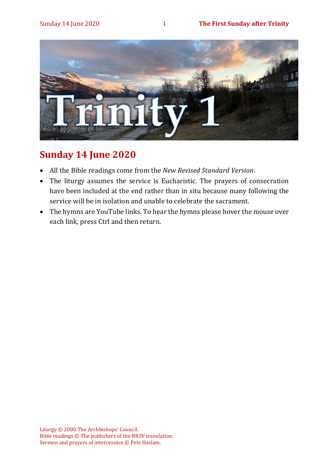

# **Sunday 14 June 2020**

- All the Bible readings come from the *New Revised Standard Version*.
- The liturgy assumes the service is Eucharistic. The prayers of consecration have been included at the end rather than in situ because many following the service will be in isolation and unable to celebrate the sacrament.
- The hymns are YouTube links. To hear the hymns please hover the mouse over each link, press Ctrl and then return.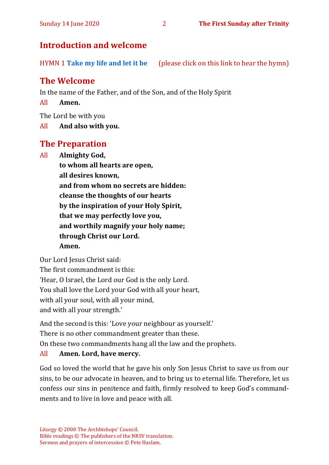# **Introduction and welcome**

HYMN 1 **[Take my life and let it be](https://www.youtube.com/watch?v=Gf11rReeWIs)** (please click on this link to hear the hymn)

# **The Welcome**

In the name of the Father, and of the Son, and of the Holy Spirit

All **Amen.**

The Lord be with you

All **And also with you.**

# **The Preparation**

All **Almighty God,**

**to whom all hearts are open, all desires known, and from whom no secrets are hidden: cleanse the thoughts of our hearts by the inspiration of your Holy Spirit, that we may perfectly love you, and worthily magnify your holy name; through Christ our Lord. Amen.**

Our Lord Jesus Christ said:

The first commandment is this: 'Hear, O Israel, the Lord our God is the only Lord. You shall love the Lord your God with all your heart, with all your soul, with all your mind, and with all your strength.'

And the second is this: 'Love your neighbour as yourself.'

There is no other commandment greater than these.

On these two commandments hang all the law and the prophets.

#### All **Amen. Lord, have mercy.**

God so loved the world that he gave his only Son Jesus Christ to save us from our sins, to be our advocate in heaven, and to bring us to eternal life. Therefore, let us confess our sins in penitence and faith, firmly resolved to keep God's commandments and to live in love and peace with all.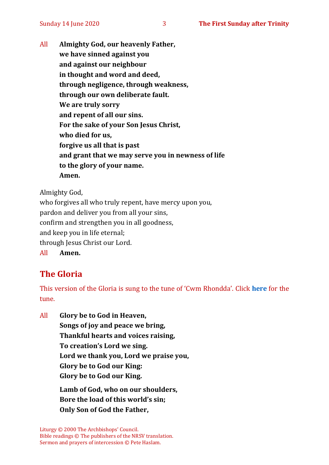All **Almighty God, our heavenly Father, we have sinned against you and against our neighbour in thought and word and deed, through negligence, through weakness, through our own deliberate fault. We are truly sorry and repent of all our sins. For the sake of your Son Jesus Christ, who died for us, forgive us all that is past and grant that we may serve you in newness of life to the glory of your name. Amen.**

Almighty God,

who forgives all who truly repent, have mercy upon you, pardon and deliver you from all your sins, confirm and strengthen you in all goodness, and keep you in life eternal; through Jesus Christ our Lord. All **Amen.**

# **The Gloria**

This version of the Gloria is sung to the tune of 'Cwm Rhondda'. Click **[here](about:blank)** for the tune.

All **Glory be to God in Heaven, Songs of joy and peace we bring, Thankful hearts and voices raising, To creation's Lord we sing. Lord we thank you, Lord we praise you, Glory be to God our King: Glory be to God our King.**

> **Lamb of God, who on our shoulders, Bore the load of this world's sin; Only Son of God the Father,**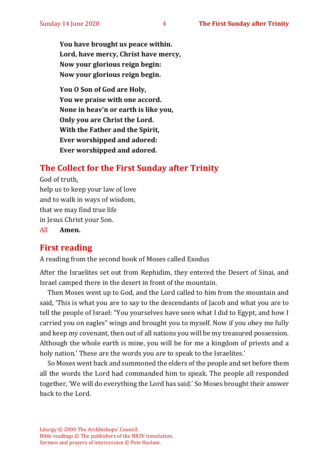**You have brought us peace within. Lord, have mercy, Christ have mercy, Now your glorious reign begin: Now your glorious reign begin.**

**You O Son of God are Holy, You we praise with one accord. None in heav'n or earth is like you, Only you are Christ the Lord. With the Father and the Spirit, Ever worshipped and adored: Ever worshipped and adored.**

# **The Collect for the First Sunday after Trinity**

God of truth, help us to keep your law of love and to walk in ways of wisdom, that we may find true life in Jesus Christ your Son. All **Amen.**

# **First reading**

A reading from the second book of Moses called Exodus

After the Israelites set out from Rephidim, they entered the Desert of Sinai, and Israel camped there in the desert in front of the mountain.

Then Moses went up to God, and the Lord called to him from the mountain and said, 'This is what you are to say to the descendants of Jacob and what you are to tell the people of Israel: "You yourselves have seen what I did to Egypt, and how I carried you on eagles" wings and brought you to myself. Now if you obey me fully and keep my covenant, then out of all nations you will be my treasured possession. Although the whole earth is mine, you will be for me a kingdom of priests and a holy nation.' These are the words you are to speak to the Israelites.'

So Moses went back and summoned the elders of the people and set before them all the words the Lord had commanded him to speak. The people all responded together, 'We will do everything the Lord has said.' So Moses brought their answer back to the Lord.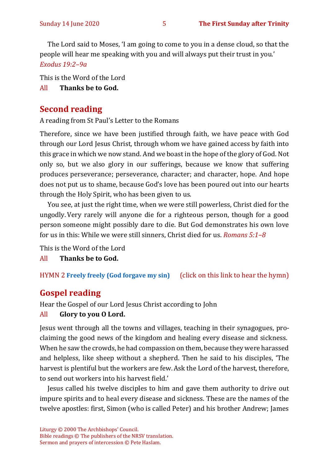The Lord said to Moses, 'I am going to come to you in a dense cloud, so that the people will hear me speaking with you and will always put their trust in you.' *Exodus 19:2–9a*

This is the Word of the Lord All **Thanks be to God.**

# **Second reading**

A reading from St Paul's Letter to the Romans

Therefore, since we have been justified through faith, we have peace with God through our Lord Jesus Christ, through whom we have gained access by faith into this grace in which we now stand. And we boast in the hope of the glory of God. Not only so, but we also glory in our sufferings, because we know that suffering produces perseverance; perseverance, character; and character, hope. And hope does not put us to shame, because God's love has been poured out into our hearts through the Holy Spirit, who has been given to us.

You see, at just the right time, when we were still powerless, Christ died for the ungodly.Very rarely will anyone die for a righteous person, though for a good person someone might possibly dare to die. But God demonstrates his own love for us in this: While we were still sinners, Christ died for us. *Romans 5:1–8*

This is the Word of the Lord

All **Thanks be to God.**

HYMN 2 **[Freely freely \(God forgave my sin\)](https://www.youtube.com/watch?v=SFV0OVeKdlw)** (click on this link to hear the hymn)

# **Gospel reading**

Hear the Gospel of our Lord Jesus Christ according to John

#### All **Glory to you O Lord.**

Jesus went through all the towns and villages, teaching in their synagogues, proclaiming the good news of the kingdom and healing every disease and sickness. When he saw the crowds, he had compassion on them, because they were harassed and helpless, like sheep without a shepherd. Then he said to his disciples, 'The harvest is plentiful but the workers are few.Ask the Lord of the harvest, therefore, to send out workers into his harvest field.'

Jesus called his twelve disciples to him and gave them authority to drive out impure spirits and to heal every disease and sickness. These are the names of the twelve apostles: first, Simon (who is called Peter) and his brother Andrew; James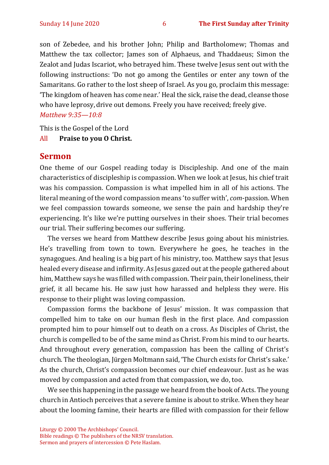son of Zebedee, and his brother John; Philip and Bartholomew; Thomas and Matthew the tax collector; James son of Alphaeus, and Thaddaeus; Simon the Zealot and Judas Iscariot, who betrayed him. These twelve Jesus sent out with the following instructions: 'Do not go among the Gentiles or enter any town of the Samaritans. Go rather to the lost sheep of Israel. As you go, proclaim this message: 'The kingdom of heaven has come near.' Heal the sick, raise the dead, cleanse those who have leprosy, drive out demons. Freely you have received; freely give. *Matthew 9:35—10:8*

This is the Gospel of the Lord

#### All **Praise to you O Christ.**

#### **Sermon**

One theme of our Gospel reading today is Discipleship. And one of the main characteristics of discipleship is compassion. When we look at Jesus, his chief trait was his compassion. Compassion is what impelled him in all of his actions. The literal meaning of the word compassion means 'to suffer with', *com*-passion. When we feel compassion towards someone, we sense the pain and hardship they're experiencing. It's like we're putting ourselves in their shoes. Their trial becomes our trial. Their suffering becomes our suffering.

The verses we heard from Matthew describe Jesus going about his ministries. He's travelling from town to town. Everywhere he goes, he teaches in the synagogues. And healing is a big part of his ministry, too. Matthew says that Jesus healed every disease and infirmity. As Jesus gazed out at the people gathered about him, Matthew says he was filled with compassion. Their pain, their loneliness, their grief, it all became his. He saw just how harassed and helpless they were. His response to their plight was loving compassion.

Compassion forms the backbone of Jesus' mission. It was compassion that compelled him to take on our human flesh in the first place. And compassion prompted him to pour himself out to death on a cross. As Disciples of Christ, the church is compelled to be of the same mind as Christ. From his mind to our hearts. And throughout every generation, compassion has been the calling of Christ's church. The theologian, Jürgen Moltmann said, 'The Church exists for Christ's sake.' As the church, Christ's compassion becomes our chief endeavour. Just as he was moved by compassion and acted from that compassion, we do, too.

We see this happening in the passage we heard from the book of Acts. The young church in Antioch perceives that a severe famine is about to strike. When they hear about the looming famine, their hearts are filled with compassion for their fellow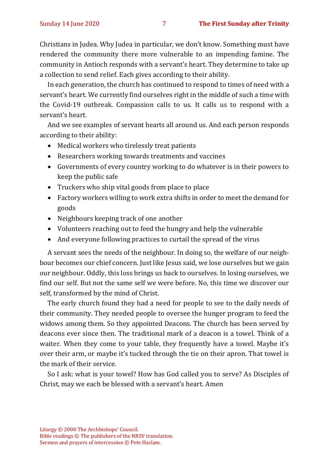Christians in Judea. Why Judea in particular, we don't know. Something must have rendered the community there more vulnerable to an impending famine. The community in Antioch responds with a servant's heart. They determine to take up a collection to send relief. Each gives according to their ability.

In each generation, the church has continued to respond to times of need with a servant's heart. We currently find ourselves right in the middle of such a time with the Covid-19 outbreak. Compassion calls to us. It calls us to respond with a servant's heart.

And we see examples of servant hearts all around us. And each person responds according to their ability:

- Medical workers who tirelessly treat patients
- Researchers working towards treatments and vaccines
- Governments of every country working to do whatever is in their powers to keep the public safe
- Truckers who ship vital goods from place to place
- Factory workers willing to work extra shifts in order to meet the demand for goods
- Neighbours keeping track of one another
- Volunteers reaching out to feed the hungry and help the vulnerable
- And everyone following practices to curtail the spread of the virus

A servant sees the needs of the neighbour. In doing so, the welfare of our neighbour becomes our chief concern. Just like Jesus said, we lose ourselves but we gain our neighbour. Oddly, this loss brings us back to ourselves. In losing ourselves, we find our self. But not the same self we were before. No, this time we discover our self, transformed by the mind of Christ.

The early church found they had a need for people to see to the daily needs of their community. They needed people to oversee the hunger program to feed the widows among them. So they appointed Deacons. The church has been served by deacons ever since then. The traditional mark of a deacon is a towel. Think of a waiter. When they come to your table, they frequently have a towel. Maybe it's over their arm, or maybe it's tucked through the tie on their apron. That towel is the mark of their service.

So I ask: what is your towel? How has God called you to serve? As Disciples of Christ, may we each be blessed with a servant's heart. Amen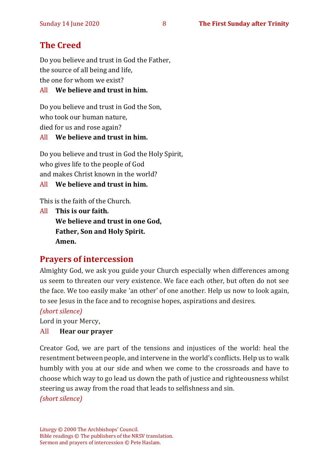# **The Creed**

Do you believe and trust in God the Father, the source of all being and life, the one for whom we exist?

#### All **We believe and trust in him.**

Do you believe and trust in God the Son, who took our human nature, died for us and rose again? All **We believe and trust in him.**

Do you believe and trust in God the Holy Spirit, who gives life to the people of God and makes Christ known in the world?

All **We believe and trust in him.**

This is the faith of the Church.

All **This is our faith. We believe and trust in one God, Father, Son and Holy Spirit. Amen.**

## **Prayers of intercession**

Almighty God, we ask you guide your Church especially when differences among us seem to threaten our very existence. We face each other, but often do not see the face. We too easily make 'an other' of one another. Help us now to look again, to see Jesus in the face and to recognise hopes, aspirations and desires.

*(short silence)*

Lord in your Mercy,

#### All **Hear our prayer**

Creator God, we are part of the tensions and injustices of the world: heal the resentment between people, and intervene in the world's conflicts. Help us to walk humbly with you at our side and when we come to the crossroads and have to choose which way to go lead us down the path of justice and righteousness whilst steering us away from the road that leads to selfishness and sin.

*(short silence)*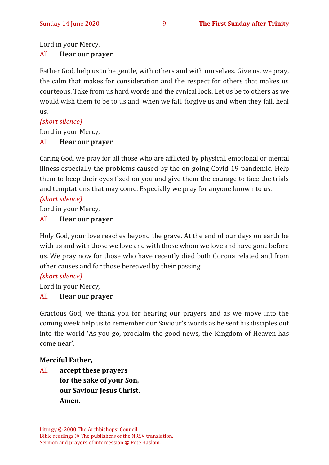Lord in your Mercy,

#### All **Hear our prayer**

Father God, help us to be gentle, with others and with ourselves. Give us, we pray, the calm that makes for consideration and the respect for others that makes us courteous. Take from us hard words and the cynical look. Let us be to others as we would wish them to be to us and, when we fail, forgive us and when they fail, heal us.

#### *(short silence)*

Lord in your Mercy,

#### All **Hear our prayer**

Caring God, we pray for all those who are afflicted by physical, emotional or mental illness especially the problems caused by the on-going Covid-19 pandemic. Help them to keep their eyes fixed on you and give them the courage to face the trials and temptations that may come. Especially we pray for anyone known to us.

#### *(short silence)*

Lord in your Mercy,

#### All **Hear our prayer**

Holy God, your love reaches beyond the grave. At the end of our days on earth be with us and with those we love and with those whom we love and have gone before us. We pray now for those who have recently died both Corona related and from other causes and for those bereaved by their passing.

#### *(short silence)*

Lord in your Mercy,

#### All **Hear our prayer**

Gracious God, we thank you for hearing our prayers and as we move into the coming week help us to remember our Saviour's words as he sent his disciples out into the world 'As you go, proclaim the good news, the Kingdom of Heaven has come near'.

#### **Merciful Father,**

All **accept these prayers for the sake of your Son, our Saviour Jesus Christ. Amen.**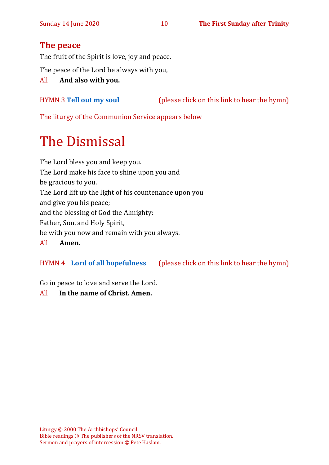# **The peace**

The fruit of the Spirit is love, joy and peace.

The peace of the Lord be always with you,

All **And also with you.**

# HYMN 3 **[Tell out my soul](https://www.youtube.com/watch?v=eqwoqRo9N6E)** (please click on this link to hear the hymn)

The liturgy of the Communion Service appears below

# The Dismissal

The Lord bless you and keep you. The Lord make his face to shine upon you and be gracious to you. The Lord lift up the light of his countenance upon you and give you his peace; and the blessing of God the Almighty: Father, Son, and Holy Spirit, be with you now and remain with you always. All **Amen.**

#### HYMN 4 **[Lord of all hopefulness](https://www.youtube.com/watch?v=9-D_aT8CXyc)** (please click on this link to hear the hymn)

Go in peace to love and serve the Lord.

All **In the name of Christ. Amen.**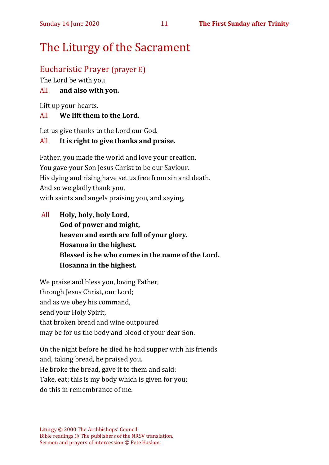# The Liturgy of the Sacrament

# Eucharistic Prayer (prayer E)

The Lord be with you

### All **and also with you.**

Lift up your hearts.

#### All **We lift them to the Lord.**

Let us give thanks to the Lord our God.

### All **It is right to give thanks and praise.**

Father, you made the world and love your creation. You gave your Son Jesus Christ to be our Saviour. His dying and rising have set us free from sin and death. And so we gladly thank you, with saints and angels praising you, and saying,

All **Holy, holy, holy Lord, God of power and might, heaven and earth are full of your glory. Hosanna in the highest. Blessed is he who comes in the name of the Lord. Hosanna in the highest.**

We praise and bless you, loving Father, through Jesus Christ, our Lord; and as we obey his command, send your Holy Spirit, that broken bread and wine outpoured may be for us the body and blood of your dear Son.

On the night before he died he had supper with his friends and, taking bread, he praised you. He broke the bread, gave it to them and said: Take, eat; this is my body which is given for you; do this in remembrance of me.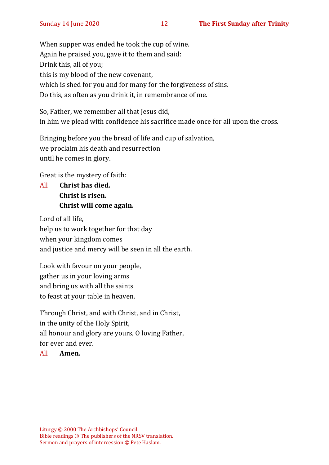When supper was ended he took the cup of wine. Again he praised you, gave it to them and said: Drink this, all of you; this is my blood of the new covenant, which is shed for you and for many for the forgiveness of sins. Do this, as often as you drink it, in remembrance of me.

So, Father, we remember all that Jesus did, in him we plead with confidence his sacrifice made once for all upon the cross.

Bringing before you the bread of life and cup of salvation, we proclaim his death and resurrection until he comes in glory.

Great is the mystery of faith:

All **Christ has died. Christ is risen. Christ will come again.**

Lord of all life, help us to work together for that day when your kingdom comes and justice and mercy will be seen in all the earth.

Look with favour on your people, gather us in your loving arms and bring us with all the saints to feast at your table in heaven.

Through Christ, and with Christ, and in Christ, in the unity of the Holy Spirit, all honour and glory are yours, O loving Father, for ever and ever.

#### All **Amen.**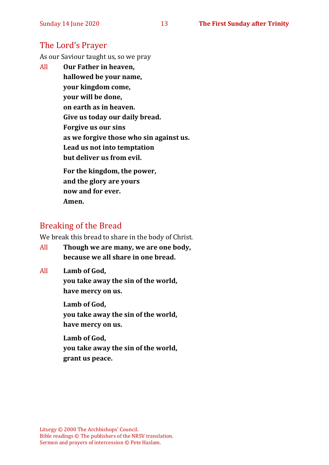## The Lord's Prayer

As our Saviour taught us, so we pray

All **Our Father in heaven, hallowed be your name, your kingdom come, your will be done, on earth as in heaven. Give us today our daily bread. Forgive us our sins as we forgive those who sin against us. Lead us not into temptation but deliver us from evil. For the kingdom, the power, and the glory are yours**

**now and for ever. Amen.**

# Breaking of the Bread

We break this bread to share in the body of Christ.

All **Though we are many, we are one body, because we all share in one bread.**

All **Lamb of God,**

**you take away the sin of the world, have mercy on us.**

**Lamb of God, you take away the sin of the world, have mercy on us.**

**Lamb of God, you take away the sin of the world, grant us peace.**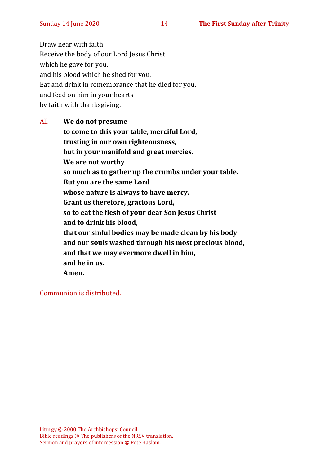Draw near with faith. Receive the body of our Lord Jesus Christ which he gave for you, and his blood which he shed for you. Eat and drink in remembrance that he died for you, and feed on him in your hearts by faith with thanksgiving.

All **We do not presume to come to this your table, merciful Lord, trusting in our own righteousness, but in your manifold and great mercies. We are not worthy so much as to gather up the crumbs under your table. But you are the same Lord whose nature is always to have mercy. Grant us therefore, gracious Lord, so to eat the flesh of your dear Son Jesus Christ and to drink his blood, that our sinful bodies may be made clean by his body and our souls washed through his most precious blood, and that we may evermore dwell in him, and he in us. Amen.**

Communion is distributed.